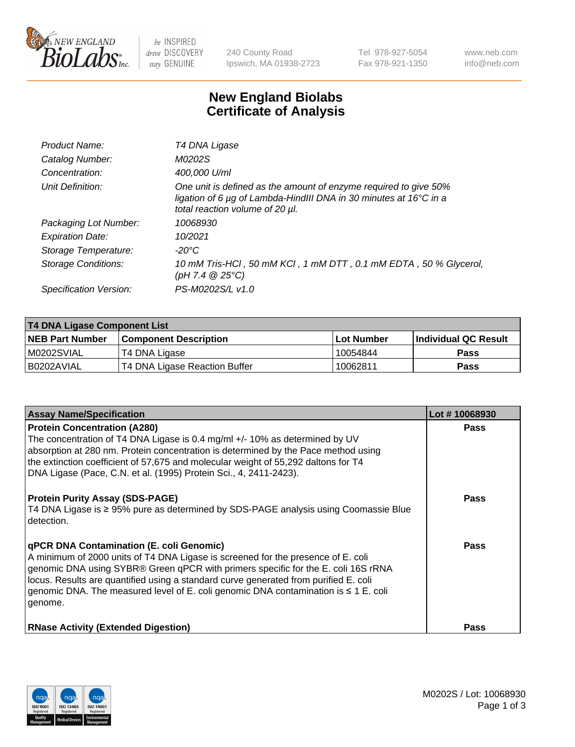

 $be$  INSPIRED drive DISCOVERY stay GENUINE

240 County Road Ipswich, MA 01938-2723 Tel 978-927-5054 Fax 978-921-1350 www.neb.com info@neb.com

## **New England Biolabs Certificate of Analysis**

| Product Name:              | T4 DNA Ligase                                                                                                                                                            |
|----------------------------|--------------------------------------------------------------------------------------------------------------------------------------------------------------------------|
| Catalog Number:            | M0202S                                                                                                                                                                   |
| Concentration:             | 400,000 U/ml                                                                                                                                                             |
| Unit Definition:           | One unit is defined as the amount of enzyme required to give 50%<br>ligation of 6 µg of Lambda-HindIII DNA in 30 minutes at 16°C in a<br>total reaction volume of 20 µl. |
| Packaging Lot Number:      | 10068930                                                                                                                                                                 |
| <b>Expiration Date:</b>    | 10/2021                                                                                                                                                                  |
| Storage Temperature:       | $-20^{\circ}$ C                                                                                                                                                          |
| <b>Storage Conditions:</b> | 10 mM Tris-HCl, 50 mM KCl, 1 mM DTT, 0.1 mM EDTA, 50 % Glycerol,<br>(pH 7.4 $@25°C$ )                                                                                    |
| Specification Version:     | PS-M0202S/L v1.0                                                                                                                                                         |

| <b>T4 DNA Ligase Component List</b> |                               |            |                             |  |
|-------------------------------------|-------------------------------|------------|-----------------------------|--|
| <b>NEB Part Number</b>              | <b>Component Description</b>  | Lot Number | <b>Individual QC Result</b> |  |
| M0202SVIAL                          | T4 DNA Ligase                 | 10054844   | <b>Pass</b>                 |  |
| I B0202AVIAL                        | T4 DNA Ligase Reaction Buffer | 10062811   | <b>Pass</b>                 |  |

| <b>Assay Name/Specification</b>                                                                                                                                                                                                                                                                                                                                                                                         | Lot #10068930 |
|-------------------------------------------------------------------------------------------------------------------------------------------------------------------------------------------------------------------------------------------------------------------------------------------------------------------------------------------------------------------------------------------------------------------------|---------------|
| <b>Protein Concentration (A280)</b><br>The concentration of T4 DNA Ligase is 0.4 mg/ml +/- 10% as determined by UV<br>absorption at 280 nm. Protein concentration is determined by the Pace method using<br>the extinction coefficient of 57,675 and molecular weight of 55,292 daltons for T4<br>DNA Ligase (Pace, C.N. et al. (1995) Protein Sci., 4, 2411-2423).                                                     | <b>Pass</b>   |
| <b>Protein Purity Assay (SDS-PAGE)</b><br>T4 DNA Ligase is ≥ 95% pure as determined by SDS-PAGE analysis using Coomassie Blue<br>l detection.                                                                                                                                                                                                                                                                           | <b>Pass</b>   |
| <b>qPCR DNA Contamination (E. coli Genomic)</b><br>A minimum of 2000 units of T4 DNA Ligase is screened for the presence of E. coli<br>genomic DNA using SYBR® Green qPCR with primers specific for the E. coli 16S rRNA<br>locus. Results are quantified using a standard curve generated from purified E. coli<br>genomic DNA. The measured level of E. coli genomic DNA contamination is $\leq 1$ E. coli<br>genome. | Pass          |
| <b>RNase Activity (Extended Digestion)</b>                                                                                                                                                                                                                                                                                                                                                                              | <b>Pass</b>   |

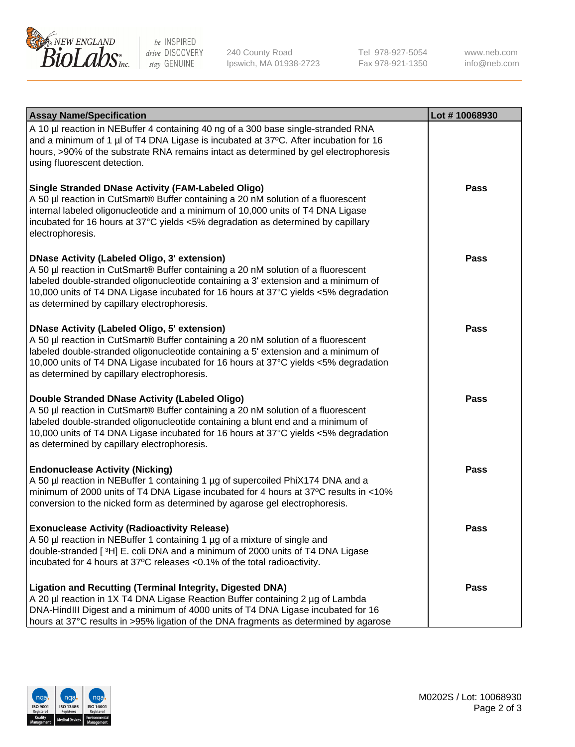

be INSPIRED drive DISCOVERY stay GENUINE

240 County Road Ipswich, MA 01938-2723 Tel 978-927-5054 Fax 978-921-1350

www.neb.com info@neb.com

| <b>Assay Name/Specification</b>                                                                                                                                                                                                                                                                                                                                      | Lot #10068930 |
|----------------------------------------------------------------------------------------------------------------------------------------------------------------------------------------------------------------------------------------------------------------------------------------------------------------------------------------------------------------------|---------------|
| A 10 µl reaction in NEBuffer 4 containing 40 ng of a 300 base single-stranded RNA<br>and a minimum of 1 µl of T4 DNA Ligase is incubated at 37°C. After incubation for 16<br>hours, >90% of the substrate RNA remains intact as determined by gel electrophoresis<br>using fluorescent detection.                                                                    |               |
| <b>Single Stranded DNase Activity (FAM-Labeled Oligo)</b><br>A 50 µl reaction in CutSmart® Buffer containing a 20 nM solution of a fluorescent<br>internal labeled oligonucleotide and a minimum of 10,000 units of T4 DNA Ligase<br>incubated for 16 hours at 37°C yields <5% degradation as determined by capillary<br>electrophoresis.                            | Pass          |
| <b>DNase Activity (Labeled Oligo, 3' extension)</b><br>A 50 µl reaction in CutSmart® Buffer containing a 20 nM solution of a fluorescent<br>labeled double-stranded oligonucleotide containing a 3' extension and a minimum of<br>10,000 units of T4 DNA Ligase incubated for 16 hours at 37°C yields <5% degradation<br>as determined by capillary electrophoresis. | <b>Pass</b>   |
| <b>DNase Activity (Labeled Oligo, 5' extension)</b><br>A 50 µl reaction in CutSmart® Buffer containing a 20 nM solution of a fluorescent<br>labeled double-stranded oligonucleotide containing a 5' extension and a minimum of<br>10,000 units of T4 DNA Ligase incubated for 16 hours at 37°C yields <5% degradation<br>as determined by capillary electrophoresis. | Pass          |
| Double Stranded DNase Activity (Labeled Oligo)<br>A 50 µl reaction in CutSmart® Buffer containing a 20 nM solution of a fluorescent<br>labeled double-stranded oligonucleotide containing a blunt end and a minimum of<br>10,000 units of T4 DNA Ligase incubated for 16 hours at 37°C yields <5% degradation<br>as determined by capillary electrophoresis.         | Pass          |
| <b>Endonuclease Activity (Nicking)</b><br>A 50 µl reaction in NEBuffer 1 containing 1 µg of supercoiled PhiX174 DNA and a<br>minimum of 2000 units of T4 DNA Ligase incubated for 4 hours at 37°C results in <10%<br>conversion to the nicked form as determined by agarose gel electrophoresis.                                                                     | <b>Pass</b>   |
| <b>Exonuclease Activity (Radioactivity Release)</b><br>A 50 µl reaction in NEBuffer 1 containing 1 µg of a mixture of single and<br>double-stranded [3H] E. coli DNA and a minimum of 2000 units of T4 DNA Ligase<br>incubated for 4 hours at 37°C releases <0.1% of the total radioactivity.                                                                        | Pass          |
| <b>Ligation and Recutting (Terminal Integrity, Digested DNA)</b><br>A 20 µl reaction in 1X T4 DNA Ligase Reaction Buffer containing 2 µg of Lambda<br>DNA-HindIII Digest and a minimum of 4000 units of T4 DNA Ligase incubated for 16<br>hours at 37°C results in >95% ligation of the DNA fragments as determined by agarose                                       | Pass          |